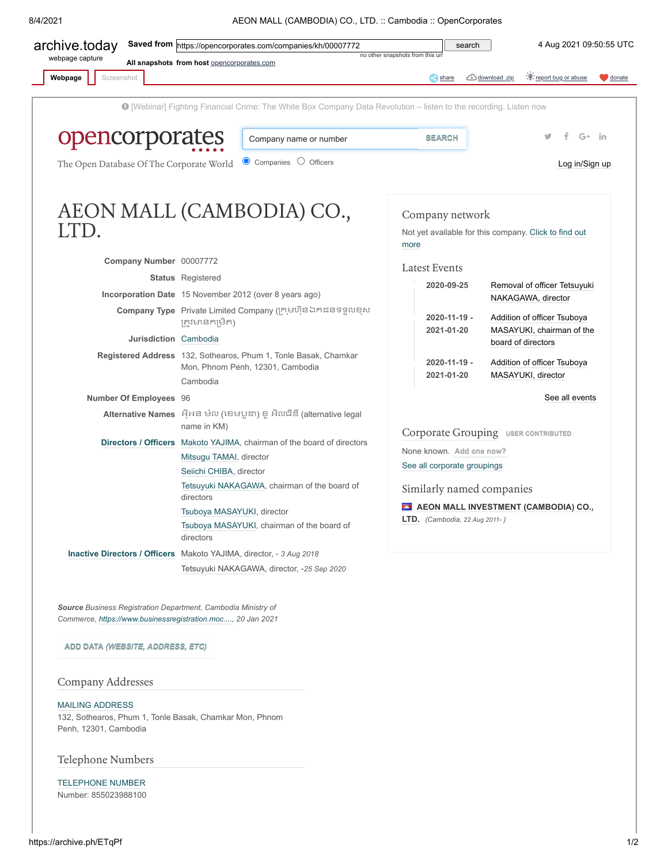8/4/2021 AEON MALL (CAMBODIA) CO., LTD. :: Cambodia :: OpenCorporates



# <span id="page-0-0"></span>Company Addresses

## [MAILING ADDRESS](https://archive.ph/o/ETqPf/https://opencorporates.com/data/54256600)

132, Sothearos, Phum 1, Tonle Basak, Chamkar Mon, Phnom Penh, 12301, Cambodia

### Telephone Numbers

[TELEPHONE NUMBER](https://archive.ph/o/ETqPf/https://opencorporates.com/data/54256601) Number: 855023988100